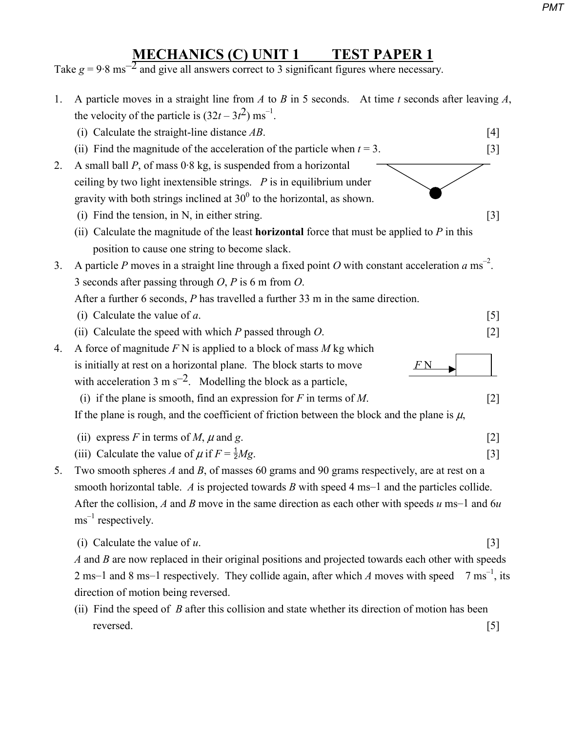## *PMT*

## **MECHANICS (C) UNIT 1 TEST PAPER 1**

Take  $g = 9.8 \text{ ms}^{-2}$  and give all answers correct to 3 significant figures where necessary.

| 1. | A particle moves in a straight line from $A$ to $B$ in 5 seconds. At time $t$ seconds after leaving $A$ ,        |                  |  |
|----|------------------------------------------------------------------------------------------------------------------|------------------|--|
|    | the velocity of the particle is $(32t - 3t^2)$ ms <sup>-1</sup> .                                                |                  |  |
|    | (i) Calculate the straight-line distance $AB$ .                                                                  | [4]              |  |
|    | (ii) Find the magnitude of the acceleration of the particle when $t = 3$ .                                       | $[3]$            |  |
| 2. | A small ball $P$ , of mass $0.8$ kg, is suspended from a horizontal                                              |                  |  |
|    | ceiling by two light inextensible strings. $P$ is in equilibrium under                                           |                  |  |
|    | gravity with both strings inclined at $30^0$ to the horizontal, as shown.                                        |                  |  |
|    | $(i)$ Find the tension, in N, in either string.                                                                  | $[3]$            |  |
|    | (ii) Calculate the magnitude of the least <b>horizontal</b> force that must be applied to $P$ in this            |                  |  |
|    | position to cause one string to become slack.                                                                    |                  |  |
| 3. | A particle P moves in a straight line through a fixed point O with constant acceleration $a \text{ ms}^{-2}$ .   |                  |  |
|    | 3 seconds after passing through $O$ , $P$ is 6 m from $O$ .                                                      |                  |  |
|    | After a further 6 seconds, $P$ has travelled a further 33 m in the same direction.                               |                  |  |
|    | (i) Calculate the value of $a$ .                                                                                 | $\left[5\right]$ |  |
|    | (ii) Calculate the speed with which $P$ passed through $O$ .                                                     | $[2]$            |  |
| 4. | A force of magnitude $F N$ is applied to a block of mass $M$ kg which                                            |                  |  |
|    | is initially at rest on a horizontal plane. The block starts to move                                             |                  |  |
|    | with acceleration 3 m $s^{-2}$ . Modelling the block as a particle,                                              |                  |  |
|    | (i) if the plane is smooth, find an expression for $F$ in terms of $M$ .                                         | $[2]$            |  |
|    | If the plane is rough, and the coefficient of friction between the block and the plane is $\mu$ ,                |                  |  |
|    | (ii) express F in terms of M, $\mu$ and g.                                                                       | $[2]$            |  |
|    | (iii) Calculate the value of $\mu$ if $F = \frac{1}{2}Mg$ .                                                      | $[3]$            |  |
| 5. | Two smooth spheres $A$ and $B$ , of masses 60 grams and 90 grams respectively, are at rest on a                  |                  |  |
|    | smooth horizontal table. $\Lambda$ is projected towards $\tilde{B}$ with speed 4 ms–1 and the particles collide. |                  |  |
|    | After the collision, A and B move in the same direction as each other with speeds $u$ ms-1 and $6u$              |                  |  |
|    | $\text{ms}^{-1}$ respectively.                                                                                   |                  |  |
|    |                                                                                                                  |                  |  |
|    | (i) Calculate the value of $u$ .                                                                                 | $[3]$            |  |
|    | A and B are now replaced in their original positions and projected towards each other with speeds                |                  |  |
|    | 2 ms–1 and 8 ms–1 respectively. They collide again, after which A moves with speed $7 \text{ ms}^{-1}$ , its     |                  |  |
|    | direction of motion being reversed.                                                                              |                  |  |
|    | (ii) Find the speed of R after this collision and state whether its direction of motion has been                 |                  |  |

 (ii) Find the speed of *B* after this collision and state whether its direction of motion has been reversed. [5]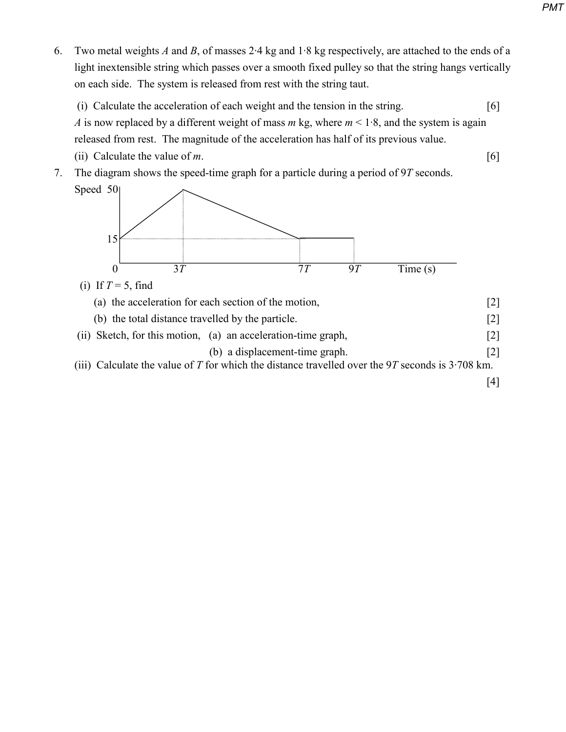- 6. Two metal weights *A* and *B*, of masses 2·4 kg and 1·8 kg respectively, are attached to the ends of a light inextensible string which passes over a smooth fixed pulley so that the string hangs vertically on each side. The system is released from rest with the string taut.
	- (i) Calculate the acceleration of each weight and the tension in the string. [6] *A* is now replaced by a different weight of mass *m* kg, where  $m < 1.8$ , and the system is again released from rest. The magnitude of the acceleration has half of its previous value. (ii) Calculate the value of *m*. [6]
- 7. The diagram shows the speed-time graph for a particle during a period of 9*T* seconds.



 (a) the acceleration for each section of the motion, [2] (b) the total distance travelled by the particle. [2] (ii) Sketch, for this motion, (a) an acceleration-time graph, [2] (b) a displacement-time graph. [2] (iii) Calculate the value of  $T$  for which the distance travelled over the  $9T$  seconds is  $3\cdot 708$  km. [4]